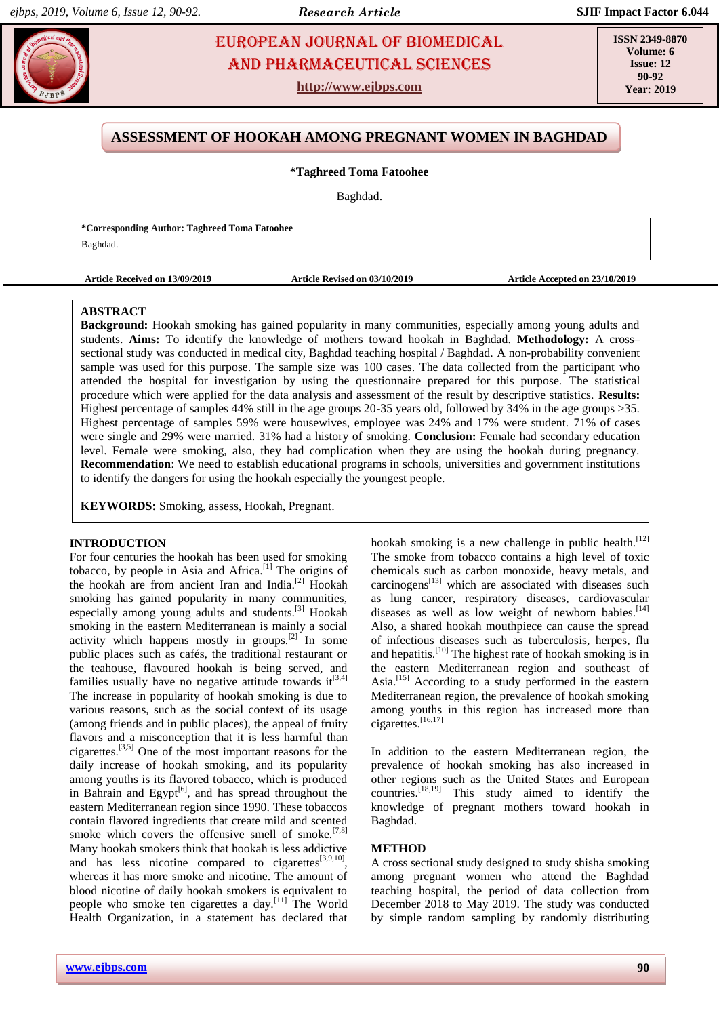# **FAUROPEAN JOURNAL OF BIOMEDICAL AND SEX 23** AND Pharmaceutical sciences

**http://www.ejbps.com**

**ISSN 2349-8870 Volume: 6 Issue: 12 90-92 Year: 2019**

# **ASSESSMENT OF HOOKAH AMONG PREGNANT WOMEN IN BAGHDAD**

#### **\*Taghreed Toma Fatoohee**

Baghdad.

| *Corresponding Author: Taghreed Toma Fatoohee |  |
|-----------------------------------------------|--|
| Baghdad.                                      |  |

**Article Received on 13/09/2019 Article Revised on 03/10/2019 Article Accepted on 23/10/2019**

#### **ABSTRACT**

**Background:** Hookah smoking has gained popularity in many communities, especially among young adults and students. **Aims:** To identify the knowledge of mothers toward hookah in Baghdad. **Methodology:** A cross– sectional study was conducted in medical city, Baghdad teaching hospital / Baghdad. A non-probability convenient sample was used for this purpose. The sample size was 100 cases. The data collected from the participant who attended the hospital for investigation by using the questionnaire prepared for this purpose. The statistical procedure which were applied for the data analysis and assessment of the result by descriptive statistics. **Results:**  Highest percentage of samples 44% still in the age groups 20-35 years old, followed by 34% in the age groups >35. Highest percentage of samples 59% were housewives, employee was 24% and 17% were student. 71% of cases were single and 29% were married. 31% had a history of smoking. **Conclusion:** Female had secondary education level. Female were smoking, also, they had complication when they are using the hookah during pregnancy. **Recommendation**: We need to establish educational programs in schools, universities and government institutions to identify the dangers for using the hookah especially the youngest people.

**KEYWORDS:** Smoking, assess, Hookah, Pregnant.

#### **INTRODUCTION**

For four centuries the hookah has been used for smoking tobacco, by people in Asia and Africa.<sup>[\[1\]](https://www.ncbi.nlm.nih.gov/pmc/articles/PMC5279973/#b1-epj-08-3403)</sup> The origins of the hookah are from ancient Iran and India.<sup>[\[2\]](https://www.ncbi.nlm.nih.gov/pmc/articles/PMC5279973/#b2-epj-08-3403)</sup> Hookah smoking has gained popularity in many communities, especially among young adults and students.<sup>[\[3\]](https://www.ncbi.nlm.nih.gov/pmc/articles/PMC5279973/#b3-epj-08-3403)</sup> Hookah smoking in the eastern Mediterranean is mainly a social activity which happens mostly in groups. $[2]$  In some public places such as cafés, the traditional restaurant or the teahouse, flavoured hookah is being served, and families usually have no negative attitude towards  $it^{[3,4]}$  $it^{[3,4]}$  $it^{[3,4]}$  $it^{[3,4]}$ The increase in popularity of hookah smoking is due to various reasons, such as the social context of its usage (among friends and in public places), the appeal of fruity flavors and a misconception that it is less harmful than cigarettes.<sup>[\[3,](https://www.ncbi.nlm.nih.gov/pmc/articles/PMC5279973/#b3-epj-08-3403)[5\]](https://www.ncbi.nlm.nih.gov/pmc/articles/PMC5279973/#b5-epj-08-3403)</sup> One of the most important reasons for the daily increase of hookah smoking, and its popularity among youths is its flavored tobacco, which is produced in Bahrain and Egypt<sup>[\[6\]](https://www.ncbi.nlm.nih.gov/pmc/articles/PMC5279973/#b6-epj-08-3403)</sup>, and has spread throughout the eastern Mediterranean region since 1990. These tobaccos contain flavored ingredients that create mild and scented smoke which covers the offensive smell of smoke.<sup>[\[7,](https://www.ncbi.nlm.nih.gov/pmc/articles/PMC5279973/#b7-epj-08-3403)[8\]](https://www.ncbi.nlm.nih.gov/pmc/articles/PMC5279973/#b8-epj-08-3403)</sup> Many hookah smokers think that hookah is less addictive and has less nicotine compared to cigarettes $[3,9,10]$  $[3,9,10]$  $[3,9,10]$ , whereas it has more smoke and nicotine. The amount of blood nicotine of daily hookah smokers is equivalent to people who smoke ten cigarettes a day.[\[11\]](https://www.ncbi.nlm.nih.gov/pmc/articles/PMC5279973/#b11-epj-08-3403) The World Health Organization, in a statement has declared that

**METHOD**

hookah smoking is a new challenge in public health.<sup>[\[12\]](https://www.ncbi.nlm.nih.gov/pmc/articles/PMC5279973/#b12-epj-08-3403)</sup> The smoke from tobacco contains a high level of toxic chemicals such as carbon monoxide, heavy metals, and carcinogens<sup>[\[13\]](https://www.ncbi.nlm.nih.gov/pmc/articles/PMC5279973/#b13-epj-08-3403)</sup> which are associated with diseases such as lung cancer, respiratory diseases, cardiovascular diseases as well as low weight of newborn babies. $[14]$ Also, a shared hookah mouthpiece can cause the spread of infectious diseases such as tuberculosis, herpes, flu and hepatitis.<sup>[\[10\]](https://www.ncbi.nlm.nih.gov/pmc/articles/PMC5279973/#b10-epj-08-3403)</sup> The highest rate of hookah smoking is in the eastern Mediterranean region and southeast of Asia.[\[15\]](https://www.ncbi.nlm.nih.gov/pmc/articles/PMC5279973/#b15-epj-08-3403) According to a study performed in the eastern Mediterranean region, the prevalence of hookah smoking among youths in this region has increased more than cigarettes.[\[16,](https://www.ncbi.nlm.nih.gov/pmc/articles/PMC5279973/#b16-epj-08-3403)[17\]](https://www.ncbi.nlm.nih.gov/pmc/articles/PMC5279973/#b17-epj-08-3403)

In addition to the eastern Mediterranean region, the prevalence of hookah smoking has also increased in other regions such as the United States and European countries. $^{[18,19]}$  $^{[18,19]}$  $^{[18,19]}$  This study aimed to identify the knowledge of pregnant mothers toward hookah in Baghdad.

A cross sectional study designed to study shisha smoking among pregnant women who attend the Baghdad teaching hospital, the period of data collection from December 2018 to May 2019. The study was conducted by simple random sampling by randomly distributing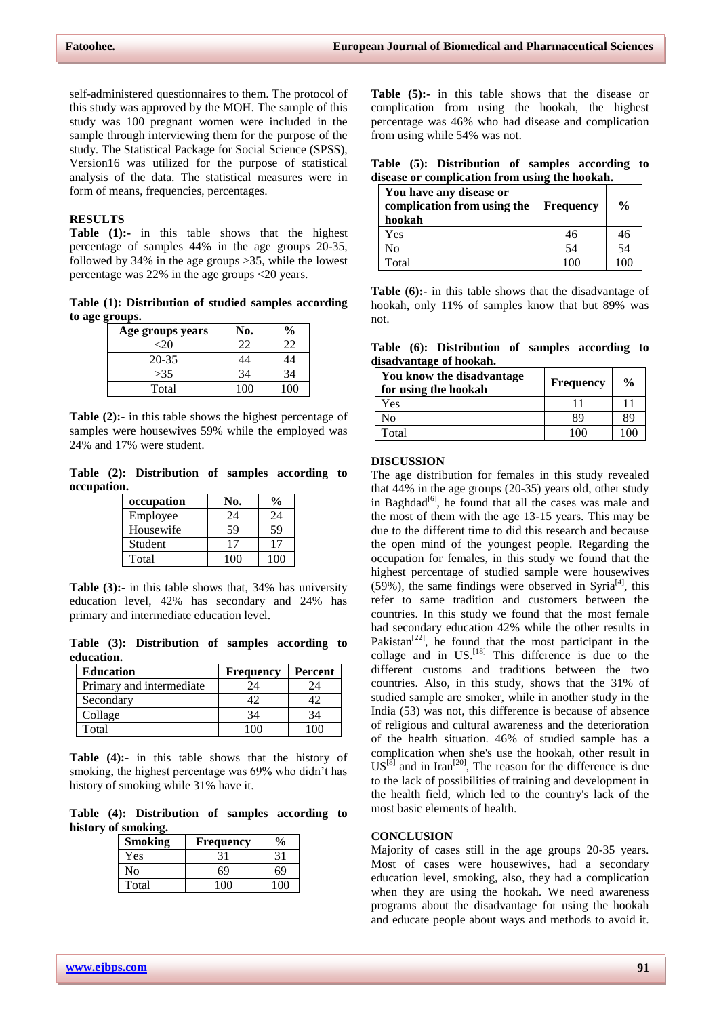self-administered questionnaires to them. The protocol of this study was approved by the MOH. The sample of this study was 100 pregnant women were included in the sample through interviewing them for the purpose of the study. The Statistical Package for Social Science (SPSS), Version16 was utilized for the purpose of statistical analysis of the data. The statistical measures were in form of means, frequencies, percentages.

## **RESULTS**

**Table (1):-** in this table shows that the highest percentage of samples 44% in the age groups 20-35, followed by 34% in the age groups >35, while the lowest percentage was 22% in the age groups <20 years.

**Table (1): Distribution of studied samples according to age groups.**

| Age groups years | No. | $\frac{1}{2}$ |
|------------------|-----|---------------|
| <20              | 22  | 17            |
| 20-35            |     | 14            |
| >35              | 34  | 34            |
| Total            | 100 | 100           |

**Table (2):-** in this table shows the highest percentage of samples were housewives 59% while the employed was 24% and 17% were student.

**Table (2): Distribution of samples according to occupation.**

| occupation | N0. |     |
|------------|-----|-----|
| Employee   | 24  | 24  |
| Housewife  | 59  | 59  |
| Student    |     |     |
| Total      | 100 | 100 |

**Table (3):-** in this table shows that, 34% has university education level, 42% has secondary and 24% has primary and intermediate education level.

**Table (3): Distribution of samples according to education.**

| <b>Education</b>         | <b>Frequency</b> | Percent |
|--------------------------|------------------|---------|
| Primary and intermediate |                  |         |
| Secondary                |                  |         |
| Collage                  | 34               | 34      |
| Total                    |                  |         |

**Table (4):-** in this table shows that the history of smoking, the highest percentage was 69% who didn't has history of smoking while 31% have it.

**Table (4): Distribution of samples according to history of smoking.**

| <b>Smoking</b> | <b>Frequency</b> | $\%$ |
|----------------|------------------|------|
| Yes            | 31               |      |
| No             | 69               | 69   |
| Total          | $100 -$          | 100  |

**Table (5):-** in this table shows that the disease or complication from using the hookah, the highest percentage was 46% who had disease and complication from using while 54% was not.

**Table (5): Distribution of samples according to disease or complication from using the hookah.**

| You have any disease or<br>complication from using the<br>hookah | <b>Frequency</b> | $\frac{0}{0}$ |
|------------------------------------------------------------------|------------------|---------------|
| Yes                                                              | 46               | 46            |
| No                                                               | 54               | 54            |
| Total                                                            | 1 በበ             | 10C           |

**Table (6):-** in this table shows that the disadvantage of hookah, only 11% of samples know that but 89% was not.

**Table (6): Distribution of samples according to disadvantage of hookah.**

| You know the disadvantage<br>for using the hookah | <b>Frequency</b> | $\frac{0}{0}$ |
|---------------------------------------------------|------------------|---------------|
| Yes                                               |                  |               |
| No                                                | 89               | 89            |
| Total                                             | 100              | 100           |

#### **DISCUSSION**

The age distribution for females in this study revealed that 44% in the age groups (20-35) years old, other study in Baghdad<sup>[6]</sup>, he found that all the cases was male and the most of them with the age 13-15 years. This may be due to the different time to did this research and because the open mind of the youngest people. Regarding the occupation for females, in this study we found that the highest percentage of studied sample were housewives  $(59%)$ , the same findings were observed in Syria<sup>[4]</sup>, this refer to same tradition and customers between the countries. In this study we found that the most female had secondary education 42% while the other results in Pakistan<sup>[22]</sup>, he found that the most participant in the collage and in US.<sup>[18]</sup> This difference is due to the different customs and traditions between the two countries. Also, in this study, shows that the 31% of studied sample are smoker, while in another study in the India (53) was not, this difference is because of absence of religious and cultural awareness and the deterioration of the health situation. 46% of studied sample has a complication when she's use the hookah, other result in  $US^{[8]}$  and in Iran<sup>[20]</sup>, The reason for the difference is due to the lack of possibilities of training and development in the health field, which led to the country's lack of the most basic elements of health.

#### **CONCLUSION**

Majority of cases still in the age groups 20-35 years. Most of cases were housewives, had a secondary education level, smoking, also, they had a complication when they are using the hookah. We need awareness programs about the disadvantage for using the hookah and educate people about ways and methods to avoid it.